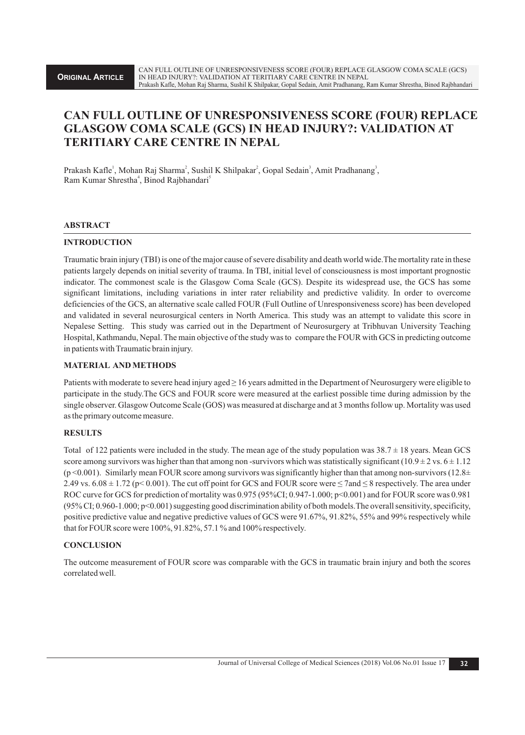# **CAN FULL OUTLINE OF UNRESPONSIVENESS SCORE (FOUR) REPLACE GLASGOW COMA SCALE (GCS) IN HEAD INJURY?: VALIDATION AT TERITIARY CARE CENTRE IN NEPAL**

Prakash Kafle<sup>1</sup>, Mohan Raj Sharma<sup>2</sup>, Sushil K Shilpakar<sup>2</sup>, Gopal Sedain<sup>3</sup>, Amit Pradhanang<sup>3</sup>, Ram Kumar Shrestha<sup>4</sup>, Binod Rajbhandari<sup>5</sup>

## **ABSTRACT**

## **INTRODUCTION**

Traumatic brain injury (TBI) is one of the major cause of severe disability and death world wide.The mortality rate in these patients largely depends on initial severity of trauma. In TBI, initial level of consciousness is most important prognostic indicator. The commonest scale is the Glasgow Coma Scale (GCS). Despite its widespread use, the GCS has some significant limitations, including variations in inter rater reliability and predictive validity. In order to overcome deficiencies of the GCS, an alternative scale called FOUR (Full Outline of Unresponsiveness score) has been developed and validated in several neurosurgical centers in North America. This study was an attempt to validate this score in Nepalese Setting. This study was carried out in the Department of Neurosurgery at Tribhuvan University Teaching Hospital, Kathmandu, Nepal. The main objective of the study was to compare the FOUR with GCS in predicting outcome in patients with Traumatic brain injury.

## **MATERIAL AND METHODS**

Patients with moderate to severe head injury aged ≥ 16 years admitted in the Department of Neurosurgery were eligible to participate in the study.The GCS and FOUR score were measured at the earliest possible time during admission by the single observer. Glasgow Outcome Scale (GOS) was measured at discharge and at 3 months follow up. Mortality was used as the primary outcome measure.

#### **RESULTS**

Total of 122 patients were included in the study. The mean age of the study population was  $38.7 \pm 18$  years. Mean GCS score among survivors was higher than that among non-survivors which was statistically significant (10.9  $\pm$  2 vs. 6  $\pm$  1.12  $(p \le 0.001)$ . Similarly mean FOUR score among survivors was significantly higher than that among non-survivors (12.8 $\pm$ 2.49 vs.  $6.08 \pm 1.72$  (p< 0.001). The cut off point for GCS and FOUR score were  $\leq$  7and  $\leq$  8 respectively. The area under ROC curve for GCS for prediction of mortality was 0.975 (95%CI; 0.947-1.000; p<0.001) and for FOUR score was 0.981 (95% CI; 0.960-1.000; p<0.001) suggesting good discrimination ability of both models.The overall sensitivity, specificity, positive predictive value and negative predictive values of GCS were 91.67%, 91.82%, 55% and 99% respectively while that for FOUR score were 100%, 91.82%, 57.1 % and 100% respectively.

# **CONCLUSION**

The outcome measurement of FOUR score was comparable with the GCS in traumatic brain injury and both the scores correlated well.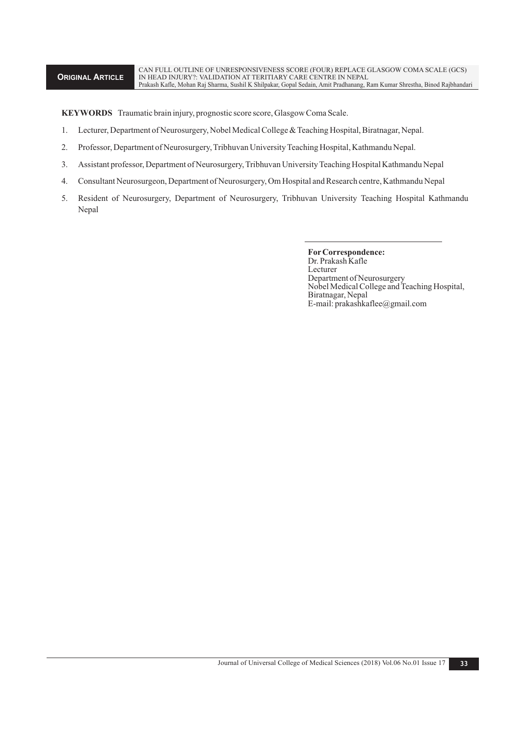CAN FULL OUTLINE OF UNRESPONSIVENESS SCORE (FOUR) REPLACE GLASGOW COMA SCALE (GCS) IN HEAD INJURY?: VALIDATION AT TERITIARY CARE CENTRE IN NEPAL Prakash Kafle, Mohan Raj Sharma, Sushil K Shilpakar, Gopal Sedain, Amit Pradhanang, Ram Kumar Shrestha, Binod Rajbhandari

**KEYWORDS** Traumatic brain injury, prognostic score score, Glasgow Coma Scale.

- 1. Lecturer, Department of Neurosurgery, Nobel Medical College & Teaching Hospital, Biratnagar, Nepal.
- 2. Professor, Department of Neurosurgery, Tribhuvan University Teaching Hospital, Kathmandu Nepal.
- 3. Assistant professor, Department of Neurosurgery, Tribhuvan University Teaching Hospital Kathmandu Nepal
- 4. Consultant Neurosurgeon, Department of Neurosurgery, Om Hospital and Research centre, Kathmandu Nepal
- 5. Resident of Neurosurgery, Department of Neurosurgery, Tribhuvan University Teaching Hospital Kathmandu Nepal

**ForCorrespondence:** Dr. Prakash Kafle Lecturer Department of Neurosurgery Nobel Medical College and Teaching Hospital, Biratnagar, Nepal E-mail: prakashkaflee@gmail.com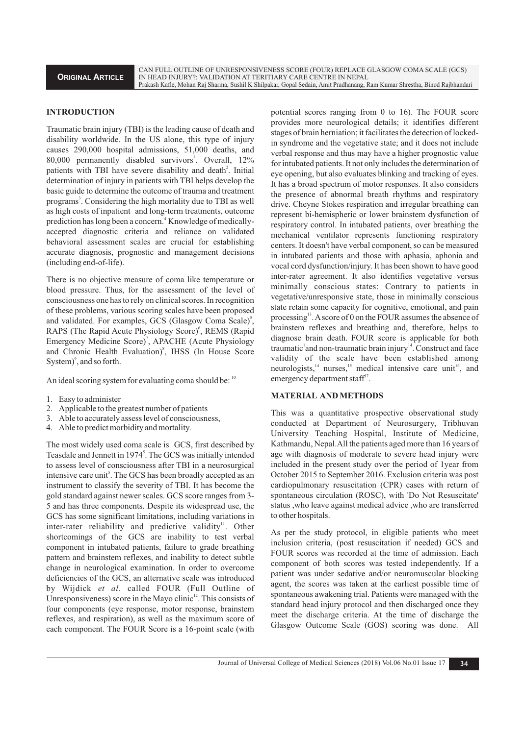CAN FULL OUTLINE OF UNRESPONSIVENESS SCORE (FOUR) REPLACE GLASGOW COMA SCALE (GCS) IN HEAD INJURY?: VALIDATION AT TERITIARY CARE CENTRE IN NEPAL Prakash Kafle, Mohan Raj Sharma, Sushil K Shilpakar, Gopal Sedain, Amit Pradhanang, Ram Kumar Shrestha, Binod Rajbhandari

#### **INTRODUCTION**

Traumatic brain injury (TBI) is the leading cause of death and disability worldwide. In the US alone, this type of injury causes 290,000 hospital admissions, 51,000 deaths, and 80,000 permanently disabled survivors<sup>1</sup>. Overall, 12% patients with TBI have severe disability and death<sup>2</sup>. Initial determination of injury in patients with TBI helps develop the basic guide to determine the outcome of trauma and treatment programs<sup>3</sup>. Considering the high mortality due to TBI as well as high costs of inpatient and long-term treatments, outcome prediction has long been a concern.<sup>4</sup> Knowledge of medicallyaccepted diagnostic criteria and reliance on validated behavioral assessment scales are crucial for establishing accurate diagnosis, prognostic and management decisions (including end-of-life).

There is no objective measure of coma like temperature or blood pressure. Thus, for the assessment of the level of consciousness one has to rely on clinical scores. In recognition of these problems, various scoring scales have been proposed and validated. For examples, GCS (Glasgow Coma Scale)<sup>5</sup>, RAPS (The Rapid Acute Physiology Score)<sup>°</sup>, REMS (Rapid Emergency Medicine Score)<sup>7</sup>, APACHE (Acute Physiology and Chronic Health Evaluation)<sup>8</sup>, IHSS (In House Score System) $\degree$ , and so forth.

An ideal scoring system for evaluating coma should be:  $10$ 

- 1. Easy to administer
- 2. Applicable to the greatest number of patients
- 3. Able to accurately assess level of consciousness,
- 4. Able to predict morbidity and mortality.

The most widely used coma scale is GCS, first described by Teasdale and Jennett in 1974<sup>5</sup>. The GCS was initially intended to assess level of consciousness after TBI in a neurosurgical intensive care unit<sup>5</sup>. The GCS has been broadly accepted as an instrument to classify the severity of TBI. It has become the gold standard against newer scales. GCS score ranges from 3- 5 and has three components. Despite its widespread use, the GCS has some significant limitations, including variations in inter-rater reliability and predictive validity  $\mu$ . Other shortcomings of the GCS are inability to test verbal component in intubated patients, failure to grade breathing pattern and brainstem reflexes, and inability to detect subtle change in neurological examination. In order to overcome deficiencies of the GCS, an alternative scale was introduced by Wijdick *et al*. called FOUR (Full Outline of Unresponsiveness) score in the Mayo clinic $\mathbf{r}^2$ . This consists of four components (eye response, motor response, brainstem reflexes, and respiration), as well as the maximum score of each component. The FOUR Score is a 16-point scale (with

potential scores ranging from 0 to 16). The FOUR score provides more neurological details; it identifies different stages of brain herniation; it facilitates the detection of lockedin syndrome and the vegetative state; and it does not include verbal response and thus may have a higher prognostic value for intubated patients. It not only includes the determination of eye opening, but also evaluates blinking and tracking of eyes. It has a broad spectrum of motor responses. It also considers the presence of abnormal breath rhythms and respiratory drive. Cheyne Stokes respiration and irregular breathing can represent bi-hemispheric or lower brainstem dysfunction of respiratory control. In intubated patients, over breathing the mechanical ventilator represents functioning respiratory centers. It doesn't have verbal component, so can be measured in intubated patients and those with aphasia, aphonia and vocal cord dysfunction/injury. It has been shown to have good inter-rater agreement. It also identifies vegetative versus minimally conscious states: Contrary to patients in vegetative/unresponsive state, those in minimally conscious state retain some capacity for cognitive, emotional, and pain processing $13$ . A score of 0 on the FOUR assumes the absence of brainstem reflexes and breathing and, therefore, helps to diagnose brain death. FOUR score is applicable for both traumatic and non-traumatic brain injury $\mu$ <sup>1</sup>. Construct and face validity of the scale have been established among neurologists,<sup>14</sup> nurses,<sup>15</sup> medical intensive care unit<sup>16</sup>, and emergency department staff<sup>17</sup>.

# **MATERIAL AND METHODS**

This was a quantitative prospective observational study conducted at Department of Neurosurgery, Tribhuvan University Teaching Hospital, Institute of Medicine, Kathmandu, Nepal.All the patients aged more than 16 years of age with diagnosis of moderate to severe head injury were included in the present study over the period of 1year from October 2015 to September 2016. Exclusion criteria was post cardiopulmonary resuscitation (CPR) cases with return of spontaneous circulation (ROSC), with 'Do Not Resuscitate' status ,who leave against medical advice ,who are transferred to other hospitals.

As per the study protocol, in eligible patients who meet inclusion criteria, (post resuscitation if needed) GCS and FOUR scores was recorded at the time of admission. Each component of both scores was tested independently. If a patient was under sedative and/or neuromuscular blocking agent, the scores was taken at the earliest possible time of spontaneous awakening trial. Patients were managed with the standard head injury protocol and then discharged once they meet the discharge criteria. At the time of discharge the Glasgow Outcome Scale (GOS) scoring was done. All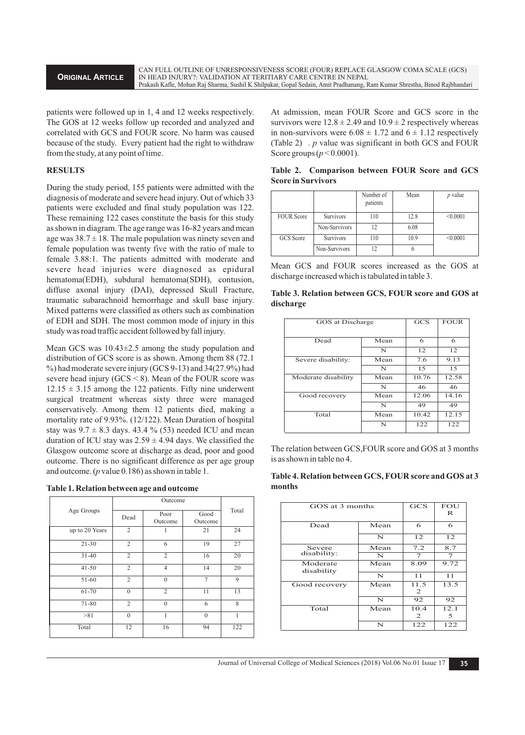CAN FULL OUTLINE OF UNRESPONSIVENESS SCORE (FOUR) REPLACE GLASGOW COMA SCALE (GCS) IN HEAD INJURY?: VALIDATION AT TERITIARY CARE CENTRE IN NEPAL Prakash Kafle, Mohan Raj Sharma, Sushil K Shilpakar, Gopal Sedain, Amit Pradhanang, Ram Kumar Shrestha, Binod Rajbhandari

patients were followed up in 1, 4 and 12 weeks respectively. The GOS at 12 weeks follow up recorded and analyzed and correlated with GCS and FOUR score. No harm was caused because of the study. Every patient had the right to withdraw from the study, at any point of time.

# **RESULTS**

During the study period, 155 patients were admitted with the diagnosis of moderate and severe head injury. Out of which 33 patients were excluded and final study population was 122. These remaining 122 cases constitute the basis for this study as shown in diagram. The age range was 16-82 years and mean age was  $38.7 \pm 18$ . The male population was ninety seven and female population was twenty five with the ratio of male to female 3.88:1. The patients admitted with moderate and severe head injuries were diagnosed as epidural hematoma(EDH), subdural hematoma(SDH), contusion, diffuse axonal injury (DAI), depressed Skull Fracture, traumatic subarachnoid hemorrhage and skull base injury. Mixed patterns were classified as others such as combination of EDH and SDH. The most common mode of injury in this study was road traffic accident followed by fall injury.

Mean GCS was 10.43±2.5 among the study population and distribution of GCS score is as shown. Among them 88 (72.1 %) had moderate severe injury (GCS 9-13) and 34(27.9%) had severe head injury ( $GCS \le 8$ ). Mean of the FOUR score was  $12.15 \pm 3.15$  among the 122 patients. Fifty nine underwent surgical treatment whereas sixty three were managed conservatively. Among them 12 patients died, making a mortality rate of 9.93%. (12/122). Mean Duration of hospital stay was  $9.7 \pm 8.3$  days. 43.4 % (53) needed ICU and mean duration of ICU stay was  $2.59 \pm 4.94$  days. We classified the Glasgow outcome score at discharge as dead, poor and good outcome. There is no significant difference as per age group and outcome. (*p* value 0.186) as shown in table 1.

| Table 1. Relation between age and outcome |  |  |  |
|-------------------------------------------|--|--|--|
|-------------------------------------------|--|--|--|

| Age Groups     | Dead           | Poor<br>Outcome | Good<br>Outcome | Total |
|----------------|----------------|-----------------|-----------------|-------|
| up to 20 Years | $\overline{c}$ | 1               | 21              | 24    |
| $21 - 30$      | $\overline{c}$ | 6               | 19              | 27    |
| $31 - 40$      | $\overline{2}$ | 2               | 16              | 20    |
| $41 - 50$      | $\overline{c}$ | 4               | 14              | 20    |
| 51-60          | $\overline{c}$ | $\Omega$        | 7               | 9     |
| 61-70          | $\theta$       | $\overline{2}$  | 11              | 13    |
| 71-80          | $\overline{2}$ | $\Omega$        | 6               | 8     |
| >81            | $\Omega$       | 1               | $\Omega$        | 1     |
| Total          | 12             | 16              | 94              | 122   |

At admission, mean FOUR Score and GCS score in the survivors were  $12.8 \pm 2.49$  and  $10.9 \pm 2$  respectively whereas in non-survivors were  $6.08 \pm 1.72$  and  $6 \pm 1.12$  respectively (Table 2) . *p* value was significant in both GCS and FOUR Score groups (*p* < 0.0001).

|                   |                  | Number of<br>patients | Mean | <i>p</i> value |
|-------------------|------------------|-----------------------|------|----------------|
| <b>FOUR Score</b> | <b>Survivors</b> | 110                   | 12.8 | < 0.0001       |
|                   | Non-Survivors    |                       | 6.08 |                |
| GCS Score         | <b>Survivors</b> | 110                   | 10.9 | < 0.0001       |
|                   | Non-Survivors    |                       |      |                |

|                           | Table 2. Comparison between FOUR Score and GCS |  |  |  |
|---------------------------|------------------------------------------------|--|--|--|
| <b>Score in Survivors</b> |                                                |  |  |  |

|  |  | Mean GCS and FOUR scores increased as the GOS at   |  |  |
|--|--|----------------------------------------------------|--|--|
|  |  | discharge increased which is tabulated in table 3. |  |  |

| Table 3. Relation between GCS, FOUR score and GOS at |  |  |  |
|------------------------------------------------------|--|--|--|
| discharge                                            |  |  |  |

| GOS at Discharge    |      | <b>GCS</b> | <b>FOUR</b> |
|---------------------|------|------------|-------------|
| Dead                | Mean | 6          | 6           |
|                     | N    | 12         | 12          |
| Severe disability:  | Mean | 7.6        | 9.13        |
|                     | N    | 1.5        | 1.5         |
| Moderate disability | Mean | 10.76      | 12.58       |
|                     | N    | 46         | 46          |
| Good recovery       | Mean | 12.06      | 14.16       |
|                     | N    | 49         | 49          |
| Total               | Mean | 10.42      | 12.15       |
|                     | N    | 122        | 122         |

The relation between GCS,FOUR score and GOS at 3 months is as shown in table no 4.

| Table 4. Relation between GCS, FOUR score and GOS at 3 |  |
|--------------------------------------------------------|--|
| months                                                 |  |

| GOS at 3 months        |      | <b>GCS</b> | <b>FOU</b>     |
|------------------------|------|------------|----------------|
|                        |      |            |                |
| Dead                   | Mean | 6          | 6              |
|                        | N    | 12         | 12             |
| Severe                 | Mean | 7.2        | 8.7            |
| disability:            | N    | 7          | $\overline{7}$ |
| Moderate<br>disability | Mean | 8.09       | 9.72           |
|                        | N    | 11         | 11             |
| Good recovery          | Mean | 11.5<br>2  | 13.5           |
|                        | N    | 92         | 92             |
| Total                  | Mean | 10.4       | 12.1           |
|                        |      | 2          | 5              |
|                        | N    | 122        | 122            |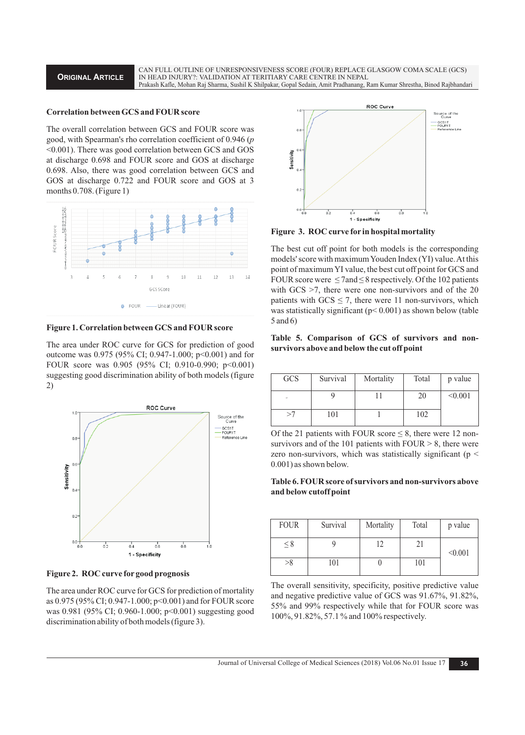**ORIGINAL ARTICLE**

CAN FULL OUTLINE OF UNRESPONSIVENESS SCORE (FOUR) REPLACE GLASGOW COMA SCALE (GCS) IN HEAD INJURY?: VALIDATION AT TERITIARY CARE CENTRE IN NEPAL Prakash Kafle, Mohan Raj Sharma, Sushil K Shilpakar, Gopal Sedain, Amit Pradhanang, Ram Kumar Shrestha, Binod Rajbhandari

#### **Correlation between GCS and FOUR score**

The overall correlation between GCS and FOUR score was good, with Spearman's rho correlation coefficient of 0.946 (*p*  <0.001). There was good correlation between GCS and GOS at discharge 0.698 and FOUR score and GOS at discharge 0.698. Also, there was good correlation between GCS and GOS at discharge 0.722 and FOUR score and GOS at 3 months 0.708. (Figure 1)



**Figure 1. Correlation between GCS and FOUR score**

The area under ROC curve for GCS for prediction of good outcome was 0.975 (95% CI; 0.947-1.000; p<0.001) and for FOUR score was 0.905 (95% CI; 0.910-0.990; p<0.001) suggesting good discrimination ability of both models (figure 2)



**Figure 2. ROC curve for good prognosis**

The area under ROC curve for GCS for prediction of mortality as 0.975 (95% CI; 0.947-1.000; p<0.001) and for FOUR score was 0.981 (95% CI; 0.960-1.000; p<0.001) suggesting good discrimination ability of both models (figure 3).



**Figure 3. ROC curve for in hospital mortality** 

The best cut off point for both models is the corresponding models' score with maximum Youden Index (YI) value. At this point of maximum YI value, the best cut off point for GCS and FOUR score were  $\leq$  7 and  $\leq$  8 respectively. Of the 102 patients with GCS  $>7$ , there were one non-survivors and of the 20 patients with  $GCS \le 7$ , there were 11 non-survivors, which was statistically significant ( $p$ < 0.001) as shown below (table 5 and 6)

# **Table 5. Comparison of GCS of survivors and nonsurvivors above and below the cut off point**

| GCS       | Survival | Mortality | Total | p value |
|-----------|----------|-----------|-------|---------|
| <b>CT</b> |          |           | 20    | < 0.001 |
|           | 101      |           | 102   |         |

Of the 21 patients with FOUR score  $\leq$  8, there were 12 nonsurvivors and of the 101 patients with  $FOUR > 8$ , there were zero non-survivors, which was statistically significant ( $p <$ 0.001) as shown below.

## **Table 6. FOUR score of survivors and non-survivors above and below cutoff point**

| <b>FOUR</b> | Survival | Mortality | Total | p value |
|-------------|----------|-----------|-------|---------|
| $\leq 8$    |          | 12        | 21    | < 0.001 |
| >8          | 101      |           | 101   |         |

The overall sensitivity, specificity, positive predictive value and negative predictive value of GCS was 91.67%, 91.82%, 55% and 99% respectively while that for FOUR score was 100%, 91.82%, 57.1 % and 100% respectively.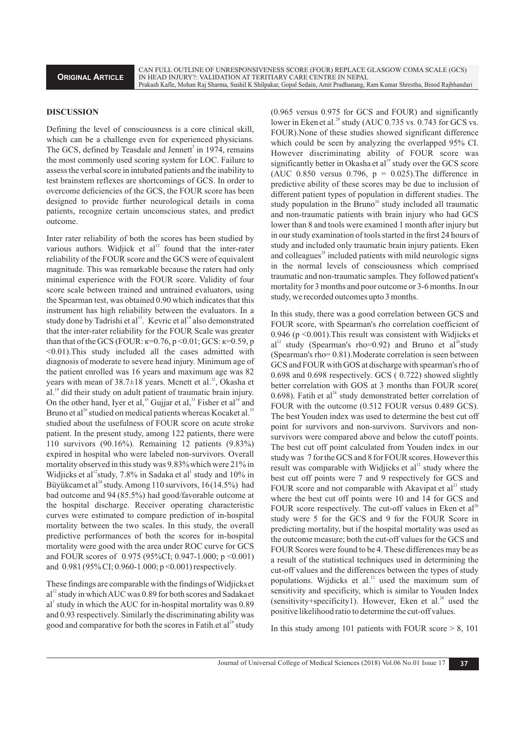#### **DISCUSSION**

Defining the level of consciousness is a core clinical skill, which can be a challenge even for experienced physicians. The GCS, defined by Teasdale and Jennett<sup>5</sup> in 1974, remains the most commonly used scoring system for LOC. Failure to assess the verbal score in intubated patients and the inability to test brainstem reflexes are shortcomings of GCS. In order to overcome deficiencies of the GCS, the FOUR score has been designed to provide further neurological details in coma patients, recognize certain unconscious states, and predict outcome.

Inter rater reliability of both the scores has been studied by various authors. Widjick et al<sup>12</sup> found that the inter-rater reliability of the FOUR score and the GCS were of equivalent magnitude. This was remarkable because the raters had only minimal experience with the FOUR score. Validity of four score scale between trained and untrained evaluators, using the Spearman test, was obtained 0.90 which indicates that this instrument has high reliability between the evaluators. In a study done by Tadrishi et al  $3<sup>1</sup>$ . Kevric et al  $^{18}$  also demonstrated that the inter-rater reliability for the FOUR Scale was greater than that of the GCS (FOUR:  $\kappa$ =0.76, p <0.01; GCS:  $\kappa$ =0.59, p <0.01).This study included all the cases admitted with diagnosis of moderate to severe head injury. Minimum age of the patient enrolled was 16 years and maximum age was 82 years with mean of  $38.7\pm18$  years. Mcnett et al.<sup>32</sup>, Okasha et al.<sup>19</sup> did their study on adult patient of traumatic brain injury. On the other hand, Iyer et al,<sup>16</sup> Gujjar et al,<sup>33</sup> Fisher et al<sup>34</sup> and Bruno et al<sup>26</sup> studied on medical patients whereas Kocaket al.<sup>35</sup> studied about the usefulness of FOUR score on acute stroke patient. In the present study, among 122 patients, there were 110 survivors (90.16%). Remaining 12 patients (9.83%) expired in hospital who were labeled non-survivors. Overall mortality observed in this study was 9.83% which were 21% in Widjicks et al<sup>12</sup> study, 7.8% in Sadaka et al<sup>1</sup> study and 10% in Büyükcamet al<sup>24</sup> study. Among 110 survivors, 16(14.5%) had bad outcome and 94 (85.5%) had good/favorable outcome at the hospital discharge. Receiver operating characteristic curves were estimated to compare prediction of in-hospital mortality between the two scales. In this study, the overall predictive performances of both the scores for in-hospital mortality were good with the area under ROC curve for GCS and FOUR scores of 0.975 (95%CI; 0.947-1.000; p <0.001) and 0.981 (95% CI; 0.960-1.000; p <0.001) respectively.

These findings are comparable with the findings of Widjickset  $al<sup>12</sup>$  study in which AUC was 0.89 for both scores and Sadakaet al<sup>1</sup> study in which the AUC for in-hospital mortality was 0.89 and 0.93 respectively. Similarly the discriminating ability was good and comparative for both the scores in Fatih.et  $al<sup>24</sup>$  study

(0.965 versus 0.975 for GCS and FOUR) and significantly lower in Eken et al.<sup>28</sup> study (AUC 0.735 vs. 0.743 for GCS vs. FOUR).None of these studies showed significant difference which could be seen by analyzing the overlapped 95% CI. However discriminating ability of FOUR score was significantly better in Okasha et al<sup>19</sup> study over the GCS score (AUC 0.850 versus 0.796,  $p = 0.025$ ). The difference in predictive ability of these scores may be due to inclusion of different patient types of population in different studies. The study population in the Bruno<sup>26</sup> study included all traumatic and non-traumatic patients with brain injury who had GCS lower than 8 and tools were examined 1 month after injury but in our study examination of tools started in the first 24 hours of study and included only traumatic brain injury patients. Eken and colleagues<sup>28</sup> included patients with mild neurologic signs in the normal levels of consciousness which comprised traumatic and non-traumatic samples. They followed patient's mortality for 3 months and poor outcome or 3-6 months. In our study, we recorded outcomes upto 3 months.

In this study, there was a good correlation between GCS and FOUR score, with Spearman's rho correlation coefficient of 0.946 (p <0.001).This result was consistent with Widjicks et  $al<sup>12</sup>$  study (Spearman's rho=0.92) and Bruno et al<sup>26</sup> study (Spearman's rho= 0.81).Moderate correlation is seen between GCS and FOUR with GOS at discharge with spearman's rho of 0.698 and 0.698 respectively. GCS ( 0.722) showed slightly better correlation with GOS at 3 months than FOUR score( 0.698). Fatih et al<sup>24</sup> study demonstrated better correlation of FOUR with the outcome (0.512 FOUR versus 0.489 GCS). The best Youden index was used to determine the best cut off point for survivors and non-survivors. Survivors and nonsurvivors were compared above and below the cutoff points. The best cut off point calculated from Youden index in our study was 7 for the GCS and 8 for FOUR scores. However this result was comparable with Widjicks et  $al<sup>12</sup>$  study where the best cut off points were 7 and 9 respectively for GCS and FOUR score and not comparable with Akavipat et al<sup>23</sup> study where the best cut off points were 10 and 14 for GCS and FOUR score respectively. The cut-off values in Eken et  $al^{28}$ study were 5 for the GCS and 9 for the FOUR Score in predicting mortality, but if the hospital mortality was used as the outcome measure; both the cut-off values for the GCS and FOUR Scores were found to be 4. These differences may be as a result of the statistical techniques used in determining the cut-off values and the differences between the types of study populations. Wijdicks et al. $\frac{12}{12}$  used the maximum sum of sensitivity and specificity, which is similar to Youden Index  $(sensitivity+specificity1)$ . However, Eken et al.<sup>28</sup> used the positive likelihood ratio to determine the cut-off values.

In this study among 101 patients with FOUR score  $> 8$ , 101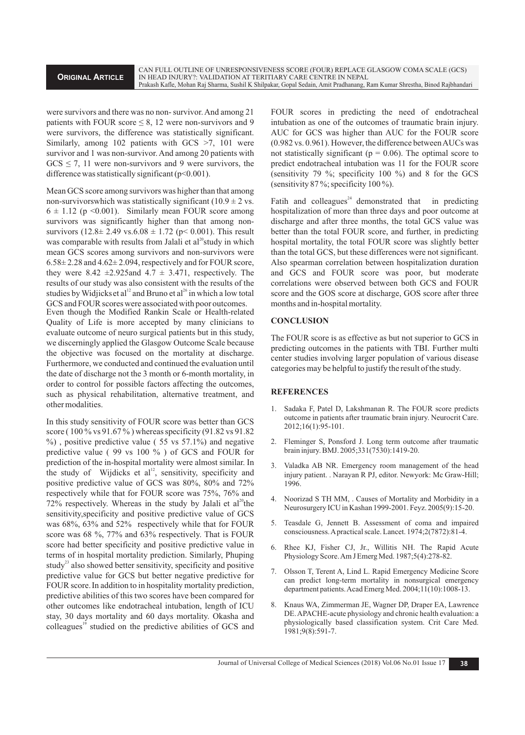were survivors and there was no non- survivor. And among 21 patients with FOUR score  $\leq 8$ , 12 were non-survivors and 9 were survivors, the difference was statistically significant. Similarly, among 102 patients with GCS  $>7$ , 101 were survivor and 1 was non-survivor. And among 20 patients with  $GCS \le 7$ , 11 were non-survivors and 9 were survivors, the difference was statistically significant  $(p<0.001)$ .

Mean GCS score among survivors was higher than that among non-survivorswhich was statistically significant (10.9  $\pm$  2 vs.  $6 \pm 1.12$  (p < 0.001). Similarly mean FOUR score among survivors was significantly higher than that among nonsurvivors (12.8 $\pm$  2.49 vs.6.08  $\pm$  1.72 (p< 0.001). This result was comparable with results from Jalali et al<sup>20</sup>study in which mean GCS scores among survivors and non-survivors were  $6.58\pm 2.28$  and  $4.62\pm 2.094$ , respectively and for FOUR score, they were 8.42  $\pm$ 2.925and 4.7  $\pm$  3.471, respectively. The results of our study was also consistent with the results of the studies by Widjicks et al<sup>12</sup> and Bruno et al<sup>26</sup> in which a low total GCS and FOUR scores were associated with poor outcomes. Even though the Modified Rankin Scale or Health-related Quality of Life is more accepted by many clinicians to evaluate outcome of neuro surgical patients but in this study, we discerningly applied the Glasgow Outcome Scale because the objective was focused on the mortality at discharge. Furthermore, we conducted and continued the evaluation until the date of discharge not the 3 month or 6-month mortality, in order to control for possible factors affecting the outcomes, such as physical rehabilitation, alternative treatment, and other modalities.

In this study sensitivity of FOUR score was better than GCS score ( 100 % vs 91.67 % ) whereas specificity (91.82 vs 91.82  $\%$ ), positive predictive value (55 vs 57.1%) and negative predictive value ( 99 vs 100 % ) of GCS and FOUR for prediction of the in-hospital mortality were almost similar. In the study of Wijdicks et al<sup>12</sup>, sensitivity, specificity and positive predictive value of GCS was 80%, 80% and 72% respectively while that for FOUR score was 75%, 76% and  $72\%$  respectively. Whereas in the study by Jalali et al<sup>20</sup>the sensitivity,specificity and positive predictive value of GCS was 68%, 63% and 52% respectively while that for FOUR score was 68 %, 77% and 63% respectively. That is FOUR score had better specificity and positive predictive value in terms of in hospital mortality prediction. Similarly, Phuping study<sup>23</sup> also showed better sensitivity, specificity and positive predictive value for GCS but better negative predictive for FOUR score.In addition to in hospitality mortality prediction, predictive abilities of this two scores have been compared for other outcomes like endotracheal intubation, length of ICU stay, 30 days mortality and 60 days mortality. Okasha and colleagues<sup>19</sup> studied on the predictive abilities of GCS and

FOUR scores in predicting the need of endotracheal intubation as one of the outcomes of traumatic brain injury. AUC for GCS was higher than AUC for the FOUR score (0.982 vs. 0.961). However, the difference between AUCs was not statistically significant ( $p = 0.06$ ). The optimal score to predict endotracheal intubation was 11 for the FOUR score (sensitivity 79 %; specificity 100 %) and 8 for the GCS (sensitivity  $87\%$ ; specificity  $100\%$ ).

Fatih and colleagues<sup>24</sup> demonstrated that in predicting hospitalization of more than three days and poor outcome at discharge and after three months, the total GCS value was better than the total FOUR score, and further, in predicting hospital mortality, the total FOUR score was slightly better than the total GCS, but these differences were not significant. Also spearman correlation between hospitalization duration and GCS and FOUR score was poor, but moderate correlations were observed between both GCS and FOUR score and the GOS score at discharge, GOS score after three months and in-hospital mortality.

#### **CONCLUSION**

The FOUR score is as effective as but not superior to GCS in predicting outcomes in the patients with TBI. Further multi center studies involving larger population of various disease categories may be helpful to justify the result of the study.

## **REFERENCES**

- Sadaka F, Patel D, Lakshmanan R. The FOUR score predicts outcome in patients after traumatic brain injury. Neurocrit Care. 2012;16(1):95-101.
- 2. Fleminger S, Ponsford J. Long term outcome after traumatic brain injury. BMJ. 2005;331(7530):1419-20.
- 3. Valadka AB NR. Emergency room management of the head injury patient. . Narayan R PJ, editor. Newyork: Mc Graw-Hill; 1996.
- 4. Noorizad S TH MM, . Causes of Mortality and Morbidity in a Neurosurgery ICU in Kashan 1999-2001. Feyz. 2005(9):15-20.
- 5. Teasdale G, Jennett B. Assessment of coma and impaired consciousness. Apractical scale. Lancet. 1974;2(7872):81-4.
- 6. Rhee KJ, Fisher CJ, Jr., Willitis NH. The Rapid Acute Physiology Score. Am J Emerg Med. 1987;5(4):278-82.
- 7. Olsson T, Terent A, Lind L. Rapid Emergency Medicine Score can predict long-term mortality in nonsurgical emergency department patients. Acad Emerg Med. 2004;11(10):1008-13.
- 8. Knaus WA, Zimmerman JE, Wagner DP, Draper EA, Lawrence DE. APACHE-acute physiology and chronic health evaluation: a physiologically based classification system. Crit Care Med. 1981;9(8):591-7.